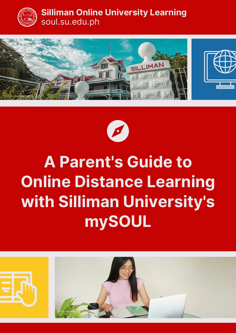

#### **Silliman Online University Learning** soul.su.edu.ph





# **A Parent's Guide to Online Distance Learning with Silliman University's mySOUL**

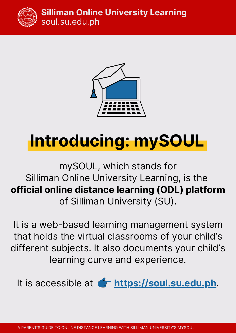

#### **Silliman Online University Learning** soul.su.edu.ph



# **Introducing: mySOUL**

### mySOUL, which stands for Silliman Online University Learning, is the **official online distance learning (ODL) platform** of Silliman University (SU).

It is a web-based learning management system that holds the virtual classrooms of your child's different subjects. It also documents your child's learning curve and experience.

It is accessible at **for https://soul.su.edu.ph**.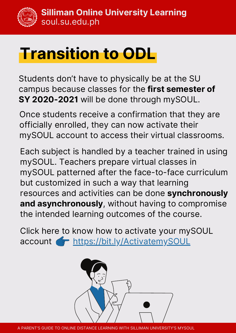# **Transition to ODL**

Students don't have to physically be at the SU campus because classes for the **first semester of SY 2020-2021** will be done through mySOUL.

Once students receive a confirmation that they are officially enrolled, they can now activate their mySOUL account to access their virtual classrooms.

Each subject is handled by a teacher trained in using mySOUL. Teachers prepare virtual classes in mySOUL patterned after the face-to-face curriculum but customized in such a way that learning resources and activities can be done **synchronously and asynchronously**, without having to compromise the intended learning outcomes of the course.

Click here to know how to activate your mySOUL account https://bit.ly/ActivatemySOUL



A PARENT'S GUIDE TO ONLINE DISTANCE LEARNING WITH SILLIMAN UNIVERSITY'S MYSOUL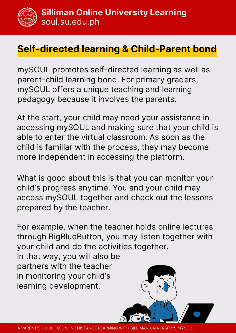### **Self-directed learning & Child-Parent bond**

mySOUL promotes self-directed learning as well as parent-child learning bond. For primary graders, mySOUL offers a unique teaching and learning pedagogy because it involves the parents.

At the start, your child may need your assistance in accessing mySOUL and making sure that your child is able to enter the virtual classroom. As soon as the child is familiar with the process, they may become more independent in accessing the platform.

What is good about this is that you can monitor your child's progress anytime. You and your child may access mySOUL together and check out the lessons prepared by the teacher.

For example, when the teacher holds online lectures through BigBlueButton, you may listen together with your child and do the activities together.

In that way, you will also be partners with the teacher in monitoring your child's learning development.

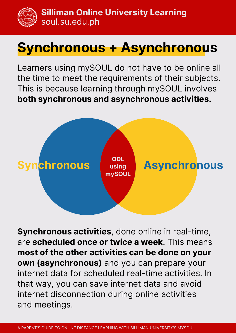**Silliman Online University Learning** soul.su.edu.ph

## **Synchronous + Asynchronous**

Learners using mySOUL do not have to be online all the time to meet the requirements of their subjects. This is because learning through mySOUL involves **both synchronous and asynchronous activities.**



**Synchronous activities**, done online in real-time, are **scheduled once or twice a week**. This means **most of the other activities can be done on your own (asynchronous)** and you can prepare your internet data for scheduled real-time activities. In that way, you can save internet data and avoid internet disconnection during online activities and meetings.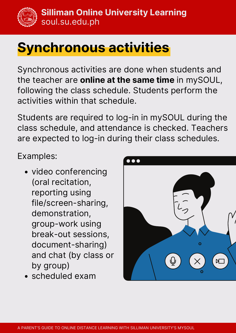## **Synchronous activities**

Synchronous activities are done when students and the teacher are **online at the same time** in mySOUL, following the class schedule. Students perform the activities within that schedule.

Students are required to log-in in mySOUL during the class schedule, and attendance is checked. Teachers are expected to log-in during their class schedules.

Examples:

- video conferencing (oral recitation, reporting using file/screen-sharing, demonstration, group-work using break-out sessions, document-sharing) and chat (by class or by group)
- scheduled exam

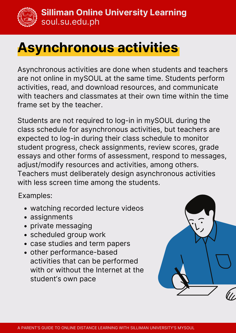

## **Asynchronous activities**

Asynchronous activities are done when students and teachers are not online in mySOUL at the same time. Students perform activities, read, and download resources, and communicate with teachers and classmates at their own time within the time frame set by the teacher.

Students are not required to log-in in mySOUL during the class schedule for asynchronous activities, but teachers are expected to log-in during their class schedule to monitor student progress, check assignments, review scores, grade essays and other forms of assessment, respond to messages, adjust/modify resources and activities, among others. Teachers must deliberately design asynchronous activities with less screen time among the students.

Examples:

- watching recorded lecture videos
- assignments
- private messaging
- scheduled group work
- case studies and term papers
- other performance-based activities that can be performed with or without the Internet at the student's own pace

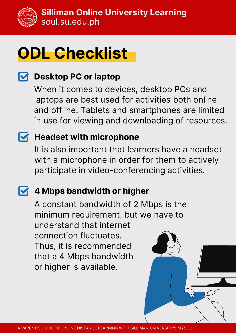

# **ODL Checklist**

### **Desktop PC or laptop**

When it comes to devices, desktop PCs and laptops are best used for activities both online and offline. Tablets and smartphones are limited in use for viewing and downloading of resources.

### **Headset with microphone**

It is also important that learners have a headset with a microphone in order for them to actively participate in video-conferencing activities.

### **4 Mbps bandwidth or higher**

A constant bandwidth of 2 Mbps is the minimum requirement, but we have to understand that internet connection fluctuates. Thus, it is recommended that a 4 Mbps bandwidth or higher is available.

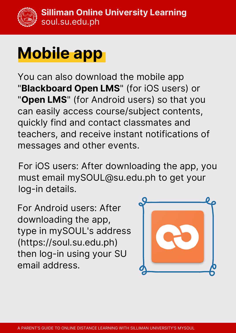# **Mobile app**

You can also download the mobile app "**Blackboard Open LMS**" (for iOS users) or "**Open LMS**" (for Android users) so that you can easily access course/subject contents, quickly find and contact classmates and teachers, and receive instant notifications of messages and other events.

For iOS users: After downloading the app, you must email mySOUL@su.edu.ph to get your log-in details.

For Android users: After downloading the app, type in mySOUL's address (https://soul.su.edu.ph) then log-in using your SU email address.

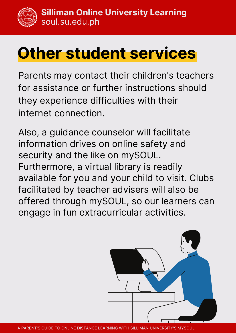# **Other student services**

Parents may contact their children's teachers for assistance or further instructions should they experience difficulties with their internet connection.

Also, a guidance counselor will facilitate information drives on online safety and security and the like on mySOUL. Furthermore, a virtual library is readily available for you and your child to visit. Clubs facilitated by teacher advisers will also be offered through mySOUL, so our learners can engage in fun extracurricular activities.

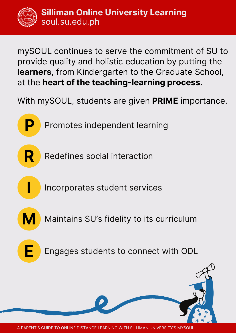mySOUL continues to serve the commitment of SU to provide quality and holistic education by putting the **learners**, from Kindergarten to the Graduate School, at the **heart of the teaching-learning process**.

With mySOUL, students are given **PRIME** importance.

Promotes independent learning

**R**

**P**

Redefines social interaction

Incorporates student services

**M**

**I**

Maintains SU's fidelity to its curriculum

**E**

Engages students to connect with ODL

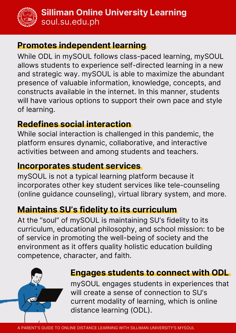

#### **Promotes independent learning**

While ODL in mySOUL follows class-paced learning, mySOUL allows students to experience self-directed learning in a new and strategic way. mySOUL is able to maximize the abundant presence of valuable information, knowledge, concepts, and constructs available in the internet. In this manner, students will have various options to support their own pace and style of learning.

### **Redefines social interaction**

While social interaction is challenged in this pandemic, the platform ensures dynamic, collaborative, and interactive activities between and among students and teachers.

### **Incorporates student services**

mySOUL is not a typical learning platform because it incorporates other key student services like tele-counseling (online guidance counseling), virtual library system, and more.

### **Maintains SU's fidelity to its curriculum**

At the "soul" of mySOUL is maintaining SU's fidelity to its curriculum, educational philosophy, and school mission: to be of service in promoting the well-being of society and the environment as it offers quality holistic education building competence, character, and faith.



#### **Engages students to connect with ODL**

mySOUL engages students in experiences that will create a sense of connection to SU's current modality of learning, which is online distance learning (ODL).